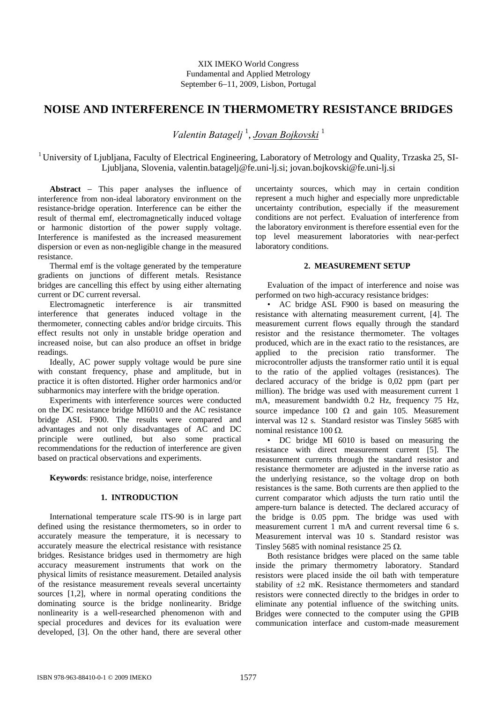# **NOISE AND INTERFERENCE IN THERMOMETRY RESISTANCE BRIDGES**

*Valentin Batagelj* <sup>1</sup> , *Jovan Bojkovski* <sup>1</sup>

<sup>1</sup> University of Ljubljana, Faculty of Electrical Engineering, Laboratory of Metrology and Quality, Trzaska 25, SI-Ljubljana, Slovenia, valentin.batagelj@fe.uni-lj.si; jovan.bojkovski@fe.uni-lj.si

**Abstract** − This paper analyses the influence of interference from non-ideal laboratory environment on the resistance-bridge operation. Interference can be either the result of thermal emf, electromagnetically induced voltage or harmonic distortion of the power supply voltage. Interference is manifested as the increased measurement dispersion or even as non-negligible change in the measured resistance.

Thermal emf is the voltage generated by the temperature gradients on junctions of different metals. Resistance bridges are cancelling this effect by using either alternating current or DC current reversal.

Electromagnetic interference is air transmitted interference that generates induced voltage in the thermometer, connecting cables and/or bridge circuits. This effect results not only in unstable bridge operation and increased noise, but can also produce an offset in bridge readings.

Ideally, AC power supply voltage would be pure sine with constant frequency, phase and amplitude, but in practice it is often distorted. Higher order harmonics and/or subharmonics may interfere with the bridge operation.

Experiments with interference sources were conducted on the DC resistance bridge MI6010 and the AC resistance bridge ASL F900. The results were compared and advantages and not only disadvantages of AC and DC principle were outlined, but also some practical recommendations for the reduction of interference are given based on practical observations and experiments.

**Keywords**: resistance bridge, noise, interference

# **1. INTRODUCTION**

International temperature scale ITS-90 is in large part defined using the resistance thermometers, so in order to accurately measure the temperature, it is necessary to accurately measure the electrical resistance with resistance bridges. Resistance bridges used in thermometry are high accuracy measurement instruments that work on the physical limits of resistance measurement. Detailed analysis of the resistance measurement reveals several uncertainty sources [1,2], where in normal operating conditions the dominating source is the bridge nonlinearity. Bridge nonlinearity is a well-researched phenomenon with and special procedures and devices for its evaluation were developed, [3]. On the other hand, there are several other uncertainty sources, which may in certain condition represent a much higher and especially more unpredictable uncertainty contribution, especially if the measurement conditions are not perfect. Evaluation of interference from the laboratory environment is therefore essential even for the top level measurement laboratories with near-perfect laboratory conditions.

# **2. MEASUREMENT SETUP**

Evaluation of the impact of interference and noise was performed on two high-accuracy resistance bridges:

• AC bridge ASL F900 is based on measuring the resistance with alternating measurement current, [4]. The measurement current flows equally through the standard resistor and the resistance thermometer. The voltages produced, which are in the exact ratio to the resistances, are applied to the precision ratio transformer. The microcontroller adjusts the transformer ratio until it is equal to the ratio of the applied voltages (resistances). The declared accuracy of the bridge is 0,02 ppm (part per million). The bridge was used with measurement current 1 mA, measurement bandwidth 0.2 Hz, frequency 75 Hz, source impedance 100  $\Omega$  and gain 105. Measurement interval was 12 s. Standard resistor was Tinsley 5685 with nominal resistance 100 Ω.

• DC bridge MI 6010 is based on measuring the resistance with direct measurement current [5]. The measurement currents through the standard resistor and resistance thermometer are adjusted in the inverse ratio as the underlying resistance, so the voltage drop on both resistances is the same. Both currents are then applied to the current comparator which adjusts the turn ratio until the ampere-turn balance is detected. The declared accuracy of the bridge is 0.05 ppm. The bridge was used with measurement current 1 mA and current reversal time 6 s. Measurement interval was 10 s. Standard resistor was Tinsley 5685 with nominal resistance 25 Ω.

Both resistance bridges were placed on the same table inside the primary thermometry laboratory. Standard resistors were placed inside the oil bath with temperature stability of  $\pm 2$  mK. Resistance thermometers and standard resistors were connected directly to the bridges in order to eliminate any potential influence of the switching units. Bridges were connected to the computer using the GPIB communication interface and custom-made measurement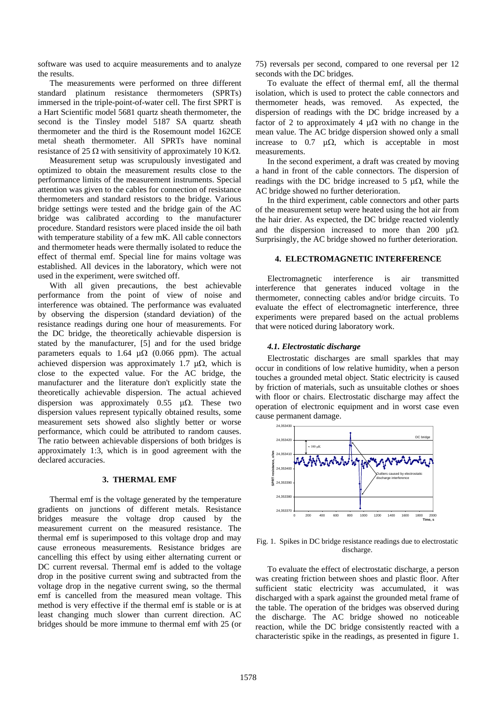software was used to acquire measurements and to analyze the results.

The measurements were performed on three different standard platinum resistance thermometers (SPRTs) immersed in the triple-point-of-water cell. The first SPRT is a Hart Scientific model 5681 quartz sheath thermometer, the second is the Tinsley model 5187 SA quartz sheath thermometer and the third is the Rosemount model 162CE metal sheath thermometer. All SPRTs have nominal resistance of 25  $\Omega$  with sensitivity of approximately 10 K/ $\Omega$ .

Measurement setup was scrupulously investigated and optimized to obtain the measurement results close to the performance limits of the measurement instruments. Special attention was given to the cables for connection of resistance thermometers and standard resistors to the bridge. Various bridge settings were tested and the bridge gain of the AC bridge was calibrated according to the manufacturer procedure. Standard resistors were placed inside the oil bath with temperature stability of a few mK. All cable connectors and thermometer heads were thermally isolated to reduce the effect of thermal emf. Special line for mains voltage was established. All devices in the laboratory, which were not used in the experiment, were switched off.

With all given precautions, the best achievable performance from the point of view of noise and interference was obtained. The performance was evaluated by observing the dispersion (standard deviation) of the resistance readings during one hour of measurements. For the DC bridge, the theoretically achievable dispersion is stated by the manufacturer, [5] and for the used bridge parameters equals to 1.64  $\mu\Omega$  (0.066 ppm). The actual achieved dispersion was approximately 1.7  $\mu\Omega$ , which is close to the expected value. For the AC bridge, the manufacturer and the literature don't explicitly state the theoretically achievable dispersion. The actual achieved dispersion was approximately 0.55  $\mu\Omega$ . These two dispersion values represent typically obtained results, some measurement sets showed also slightly better or worse performance, which could be attributed to random causes. The ratio between achievable dispersions of both bridges is approximately 1:3, which is in good agreement with the declared accuracies.

#### **3. THERMAL EMF**

Thermal emf is the voltage generated by the temperature gradients on junctions of different metals. Resistance bridges measure the voltage drop caused by the measurement current on the measured resistance. The thermal emf is superimposed to this voltage drop and may cause erroneous measurements. Resistance bridges are cancelling this effect by using either alternating current or DC current reversal. Thermal emf is added to the voltage drop in the positive current swing and subtracted from the voltage drop in the negative current swing, so the thermal emf is cancelled from the measured mean voltage. This method is very effective if the thermal emf is stable or is at least changing much slower than current direction. AC bridges should be more immune to thermal emf with 25 (or

75) reversals per second, compared to one reversal per 12 seconds with the DC bridges.

To evaluate the effect of thermal emf, all the thermal isolation, which is used to protect the cable connectors and thermometer heads, was removed. As expected, the dispersion of readings with the DC bridge increased by a factor of 2 to approximately 4  $\mu\Omega$  with no change in the mean value. The AC bridge dispersion showed only a small increase to 0.7  $\mu\Omega$ , which is acceptable in most measurements.

In the second experiment, a draft was created by moving a hand in front of the cable connectors. The dispersion of readings with the DC bridge increased to 5  $\mu\Omega$ , while the AC bridge showed no further deterioration.

In the third experiment, cable connectors and other parts of the measurement setup were heated using the hot air from the hair drier. As expected, the DC bridge reacted violently and the dispersion increased to more than 200  $\mu\Omega$ . Surprisingly, the AC bridge showed no further deterioration.

### **4. ELECTROMAGNETIC INTERFERENCE**

Electromagnetic interference is air transmitted interference that generates induced voltage in the thermometer, connecting cables and/or bridge circuits. To evaluate the effect of electromagnetic interference, three experiments were prepared based on the actual problems that were noticed during laboratory work.

### *4.1. Electrostatic discharge*

Electrostatic discharges are small sparkles that may occur in conditions of low relative humidity, when a person touches a grounded metal object. Static electricity is caused by friction of materials, such as unsuitable clothes or shoes with floor or chairs. Electrostatic discharge may affect the operation of electronic equipment and in worst case even cause permanent damage.



Fig. 1. Spikes in DC bridge resistance readings due to electrostatic discharge.

To evaluate the effect of electrostatic discharge, a person was creating friction between shoes and plastic floor. After sufficient static electricity was accumulated, it was discharged with a spark against the grounded metal frame of the table. The operation of the bridges was observed during the discharge. The AC bridge showed no noticeable reaction, while the DC bridge consistently reacted with a characteristic spike in the readings, as presented in figure 1.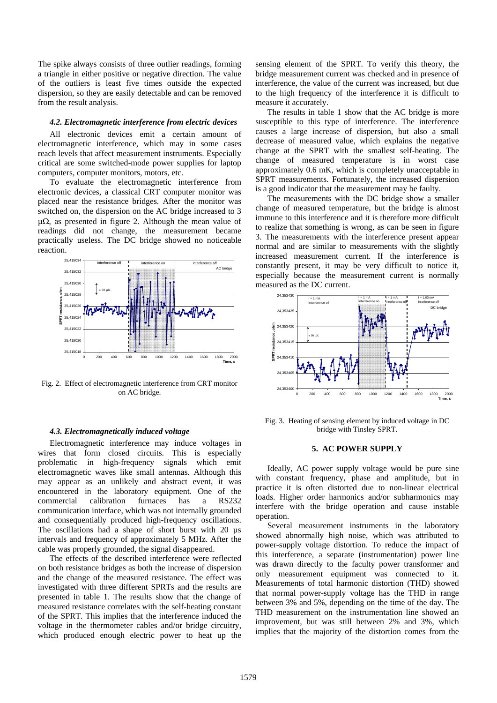The spike always consists of three outlier readings, forming a triangle in either positive or negative direction. The value of the outliers is least five times outside the expected dispersion, so they are easily detectable and can be removed from the result analysis.

# *4.2. Electromagnetic interference from electric devices*

All electronic devices emit a certain amount of electromagnetic interference, which may in some cases reach levels that affect measurement instruments. Especially critical are some switched-mode power supplies for laptop computers, computer monitors, motors, etc.

To evaluate the electromagnetic interference from electronic devices, a classical CRT computer monitor was placed near the resistance bridges. After the monitor was switched on, the dispersion on the AC bridge increased to 3  $\mu\Omega$ , as presented in figure 2. Although the mean value of readings did not change, the measurement became practically useless. The DC bridge showed no noticeable reaction.



Fig. 2. Effect of electromagnetic interference from CRT monitor on AC bridge.

# *4.3. Electromagnetically induced voltage*

Electromagnetic interference may induce voltages in wires that form closed circuits. This is especially problematic in high-frequency signals which emit electromagnetic waves like small antennas. Although this may appear as an unlikely and abstract event, it was encountered in the laboratory equipment. One of the commercial calibration furnaces has a RS232 communication interface, which was not internally grounded and consequentially produced high-frequency oscillations. The oscillations had a shape of short burst with 20  $\mu$ s intervals and frequency of approximately 5 MHz. After the cable was properly grounded, the signal disappeared.

The effects of the described interference were reflected on both resistance bridges as both the increase of dispersion and the change of the measured resistance. The effect was investigated with three different SPRTs and the results are presented in table 1. The results show that the change of measured resistance correlates with the self-heating constant of the SPRT. This implies that the interference induced the voltage in the thermometer cables and/or bridge circuitry, which produced enough electric power to heat up the

sensing element of the SPRT. To verify this theory, the bridge measurement current was checked and in presence of interference, the value of the current was increased, but due to the high frequency of the interference it is difficult to measure it accurately.

The results in table 1 show that the AC bridge is more susceptible to this type of interference. The interference causes a large increase of dispersion, but also a small decrease of measured value, which explains the negative change at the SPRT with the smallest self-heating. The change of measured temperature is in worst case approximately 0.6 mK, which is completely unacceptable in SPRT measurements. Fortunately, the increased dispersion is a good indicator that the measurement may be faulty.

The measurements with the DC bridge show a smaller change of measured temperature, but the bridge is almost immune to this interference and it is therefore more difficult to realize that something is wrong, as can be seen in figure 3. The measurements with the interference present appear normal and are similar to measurements with the slightly increased measurement current. If the interference is constantly present, it may be very difficult to notice it, especially because the measurement current is normally measured as the DC current.



Fig. 3. Heating of sensing element by induced voltage in DC bridge with Tinsley SPRT.

# **5. AC POWER SUPPLY**

Ideally, AC power supply voltage would be pure sine with constant frequency, phase and amplitude, but in practice it is often distorted due to non-linear electrical loads. Higher order harmonics and/or subharmonics may interfere with the bridge operation and cause instable operation.

Several measurement instruments in the laboratory showed abnormally high noise, which was attributed to power-supply voltage distortion. To reduce the impact of this interference, a separate (instrumentation) power line was drawn directly to the faculty power transformer and only measurement equipment was connected to it. Measurements of total harmonic distortion (THD) showed that normal power-supply voltage has the THD in range between 3% and 5%, depending on the time of the day. The THD measurement on the instrumentation line showed an improvement, but was still between 2% and 3%, which implies that the majority of the distortion comes from the